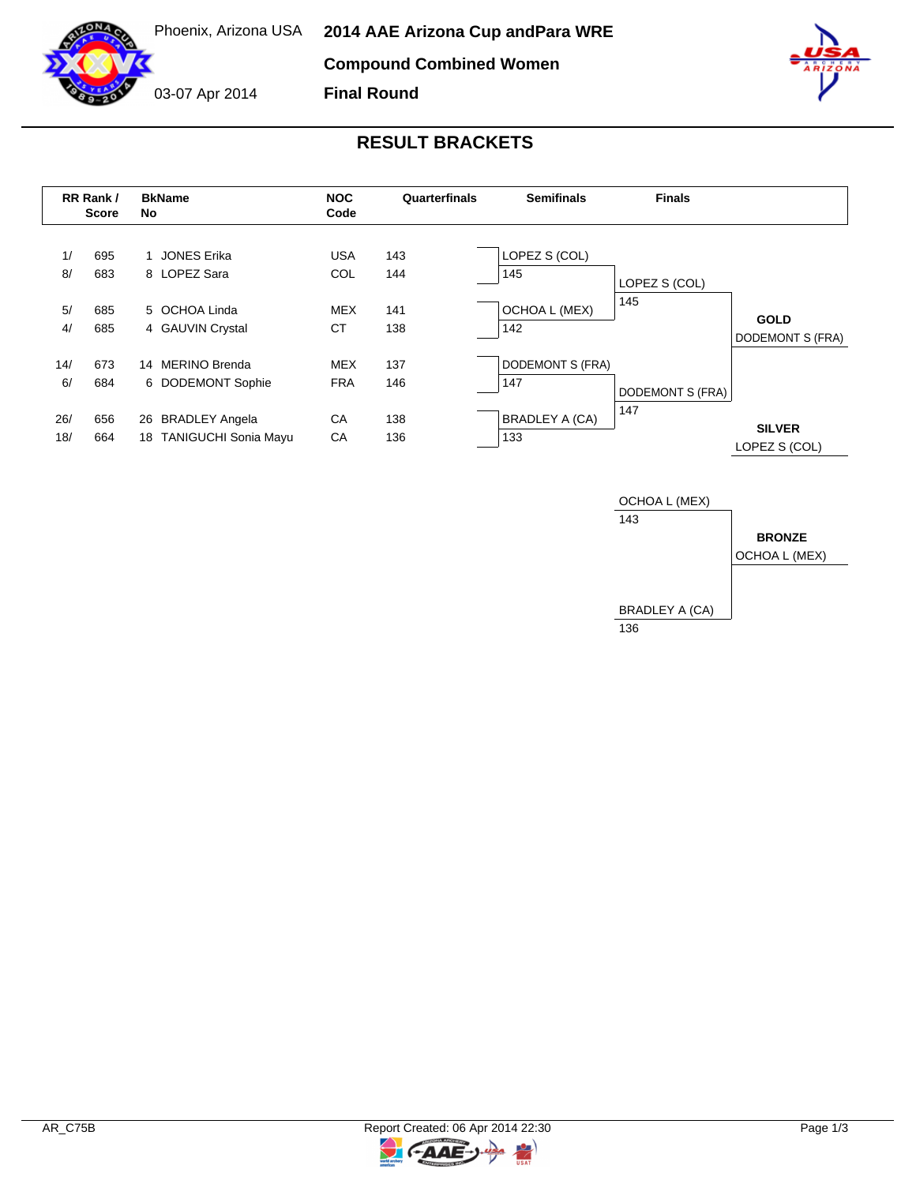Phoenix, Arizona USA



**Final Round**

03-07 Apr 2014



## **RESULT BRACKETS**



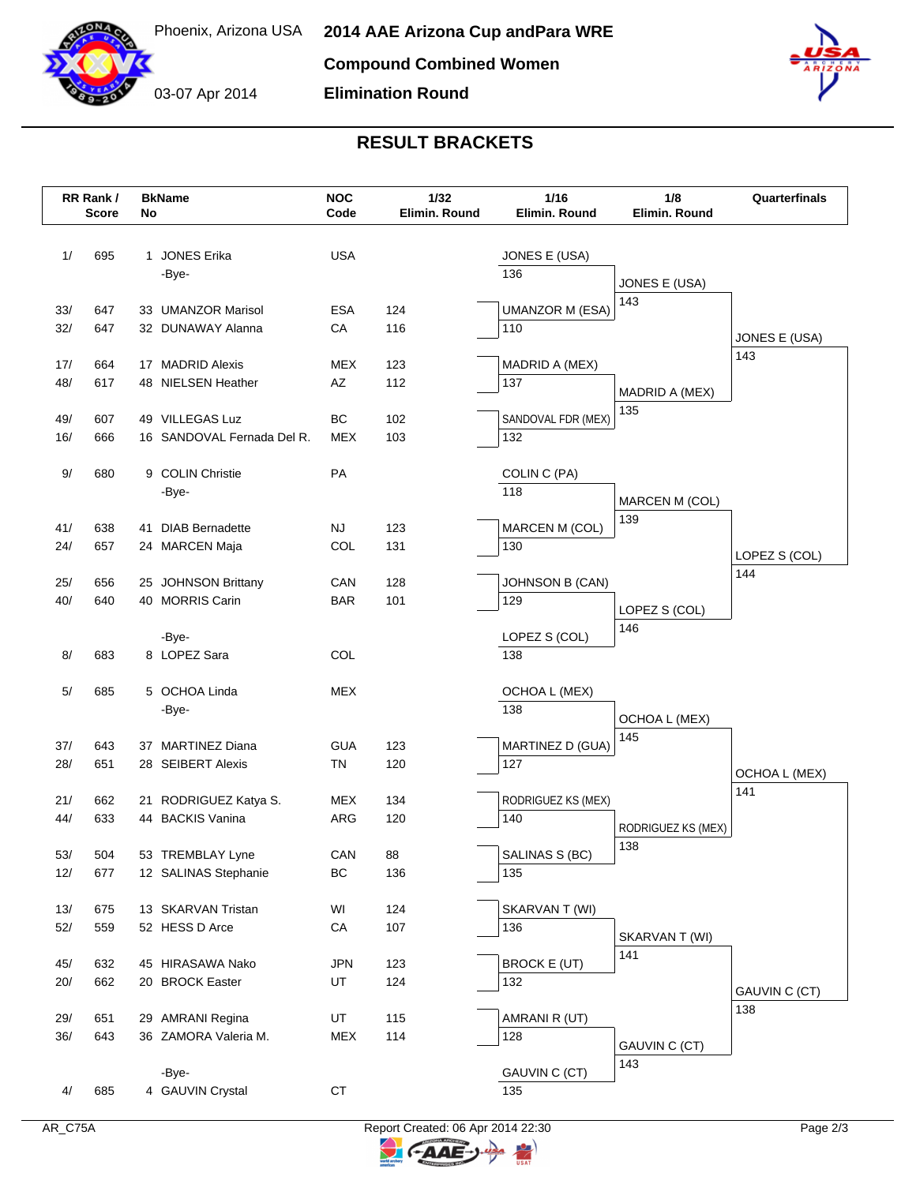03-07 Apr 2014

**Elimination Round**

## **RESULT BRACKETS**

|       | RR Rank /<br><b>Score</b> | No | <b>BkName</b>                            | <b>NOC</b><br>Code | 1/32<br>Elimin. Round | 1/16<br>Elimin. Round  | 1/8<br>Elimin. Round  | Quarterfinals        |
|-------|---------------------------|----|------------------------------------------|--------------------|-----------------------|------------------------|-----------------------|----------------------|
|       |                           |    |                                          |                    |                       |                        |                       |                      |
| 1/    | 695                       |    | 1 JONES Erika                            | <b>USA</b>         |                       | JONES E (USA)          |                       |                      |
|       |                           |    | -Bye-                                    |                    |                       | 136                    | JONES E (USA)         |                      |
| 33/   | 647                       |    | 33 UMANZOR Marisol                       | ESA                | 124                   | <b>UMANZOR M (ESA)</b> | 143                   |                      |
| 32/   | 647                       |    | 32 DUNAWAY Alanna                        | CA                 | 116                   | 110                    |                       |                      |
|       |                           |    |                                          |                    |                       |                        |                       | JONES E (USA)        |
| 17/   | 664                       |    | 17 MADRID Alexis                         | <b>MEX</b>         | 123                   | MADRID A (MEX)         |                       | 143                  |
| 48/   | 617                       |    | 48 NIELSEN Heather                       | AZ                 | 112                   | 137                    | MADRID A (MEX)        |                      |
|       |                           |    |                                          |                    |                       |                        | 135                   |                      |
| 49/   | 607                       |    | 49 VILLEGAS Luz                          | BC                 | 102                   | SANDOVAL FDR (MEX)     |                       |                      |
| 16/   | 666                       |    | 16 SANDOVAL Fernada Del R.               | <b>MEX</b>         | 103                   | 132                    |                       |                      |
| 9/    | 680                       |    | 9 COLIN Christie                         | PA                 |                       | COLIN C (PA)           |                       |                      |
|       |                           |    | -Bye-                                    |                    |                       | 118                    |                       |                      |
|       |                           |    |                                          |                    |                       |                        | MARCEN M (COL)<br>139 |                      |
| 41/   | 638                       |    | 41 DIAB Bernadette                       | NJ                 | 123                   | MARCEN M (COL)         |                       |                      |
| 24/   | 657                       |    | 24 MARCEN Maja                           | COL                | 131                   | 130                    |                       | LOPEZ S (COL)        |
| 25/   | 656                       |    | 25 JOHNSON Brittany                      | CAN                | 128                   |                        |                       | 144                  |
| 40/   | 640                       |    | 40 MORRIS Carin                          | <b>BAR</b>         | 101                   | JOHNSON B (CAN)<br>129 |                       |                      |
|       |                           |    |                                          |                    |                       |                        | LOPEZ S (COL)         |                      |
|       |                           |    | -Bye-                                    |                    |                       | LOPEZ S (COL)          | 146                   |                      |
| 8/    | 683                       |    | 8 LOPEZ Sara                             | COL                |                       | 138                    |                       |                      |
|       |                           |    |                                          |                    |                       |                        |                       |                      |
| 5/    | 685                       |    | 5 OCHOA Linda                            | <b>MEX</b>         |                       | OCHOA L (MEX)          |                       |                      |
|       |                           |    | -Bye-                                    |                    |                       | 138                    | OCHOA L (MEX)         |                      |
| 37/   | 643                       |    | 37 MARTINEZ Diana                        | <b>GUA</b>         | 123                   | MARTINEZ D (GUA)       | 145                   |                      |
| 28/   | 651                       |    | 28 SEIBERT Alexis                        | <b>TN</b>          | 120                   | 127                    |                       |                      |
|       |                           |    |                                          |                    |                       |                        |                       | OCHOA L (MEX)<br>141 |
| 21/   | 662                       |    | 21 RODRIGUEZ Katya S.                    | MEX                | 134                   | RODRIGUEZ KS (MEX)     |                       |                      |
| 44/   | 633                       |    | 44 BACKIS Vanina                         | ARG                | 120                   | 140                    | RODRIGUEZ KS (MEX)    |                      |
| 53/   | 504                       |    |                                          | CAN                | 88                    |                        | 138                   |                      |
| 12/   | 677                       |    | 53 TREMBLAY Lyne<br>12 SALINAS Stephanie | ВC                 | 136                   | SALINAS S (BC)<br>135  |                       |                      |
|       |                           |    |                                          |                    |                       |                        |                       |                      |
| $13/$ | 675                       |    | 13 SKARVAN Tristan                       | WI                 | 124                   | SKARVAN T (WI)         |                       |                      |
| 52/   | 559                       |    | 52 HESS D Arce                           | CA                 | 107                   | 136                    | SKARVAN T (WI)        |                      |
|       |                           |    |                                          |                    |                       |                        | 141                   |                      |
| 45/   | 632                       |    | 45 HIRASAWA Nako                         | <b>JPN</b>         | 123                   | <b>BROCK E (UT)</b>    |                       |                      |
| 20/   | 662                       |    | 20 BROCK Easter                          | UT                 | 124                   | 132                    |                       | GAUVIN C (CT)        |
| 29/   | 651                       |    | 29 AMRANI Regina                         | UT                 | 115                   | AMRANI R (UT)          |                       | 138                  |
| 36/   | 643                       |    | 36 ZAMORA Valeria M.                     | <b>MEX</b>         | 114                   | 128                    |                       |                      |
|       |                           |    |                                          |                    |                       |                        | GAUVIN C (CT)         |                      |
|       |                           |    | -Bye-                                    |                    |                       | GAUVIN C (CT)          | 143                   |                      |
| 4/    | 685                       |    | 4 GAUVIN Crystal                         | СT                 |                       | 135                    |                       |                      |